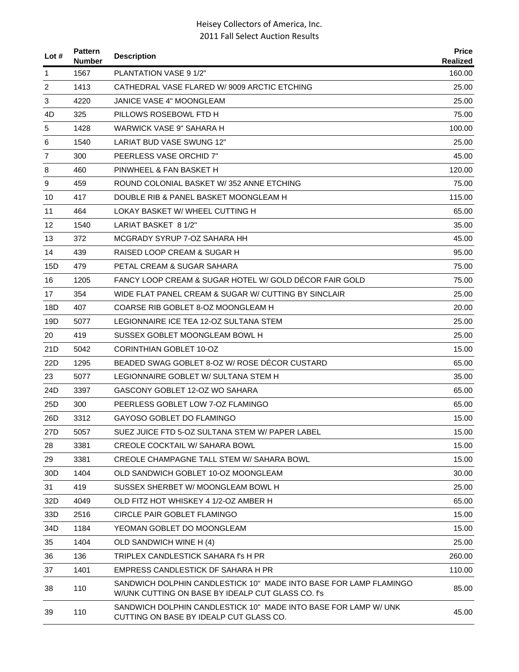| Lot#            | <b>Pattern</b><br><b>Number</b> | <b>Description</b>                                                                                                     | <b>Price</b><br>Realized |
|-----------------|---------------------------------|------------------------------------------------------------------------------------------------------------------------|--------------------------|
| 1               | 1567                            | PLANTATION VASE 9 1/2"                                                                                                 | 160.00                   |
| 2               | 1413                            | CATHEDRAL VASE FLARED W/ 9009 ARCTIC ETCHING                                                                           | 25.00                    |
| 3               | 4220                            | JANICE VASE 4" MOONGLEAM                                                                                               | 25.00                    |
| 4D              | 325                             | PILLOWS ROSEBOWL FTD H                                                                                                 | 75.00                    |
| 5               | 1428                            | WARWICK VASE 9" SAHARA H                                                                                               | 100.00                   |
| 6               | 1540                            | LARIAT BUD VASE SWUNG 12"                                                                                              | 25.00                    |
| 7               | 300                             | PEERLESS VASE ORCHID 7"                                                                                                | 45.00                    |
| 8               | 460                             | PINWHEEL & FAN BASKET H                                                                                                | 120.00                   |
| 9               | 459                             | ROUND COLONIAL BASKET W/352 ANNE ETCHING                                                                               | 75.00                    |
| 10              | 417                             | DOUBLE RIB & PANEL BASKET MOONGLEAM H                                                                                  | 115.00                   |
| 11              | 464                             | LOKAY BASKET W/ WHEEL CUTTING H                                                                                        | 65.00                    |
| 12              | 1540                            | LARIAT BASKET 8 1/2"                                                                                                   | 35.00                    |
| 13              | 372                             | MCGRADY SYRUP 7-OZ SAHARA HH                                                                                           | 45.00                    |
| 14              | 439                             | RAISED LOOP CREAM & SUGAR H                                                                                            | 95.00                    |
| 15D             | 479                             | PETAL CREAM & SUGAR SAHARA                                                                                             | 75.00                    |
| 16              | 1205                            | FANCY LOOP CREAM & SUGAR HOTEL W/ GOLD DECOR FAIR GOLD                                                                 | 75.00                    |
| 17              | 354                             | WIDE FLAT PANEL CREAM & SUGAR W/ CUTTING BY SINCLAIR                                                                   | 25.00                    |
| 18D             | 407                             | COARSE RIB GOBLET 8-OZ MOONGLEAM H                                                                                     | 20.00                    |
| 19D             | 5077                            | LEGIONNAIRE ICE TEA 12-OZ SULTANA STEM                                                                                 | 25.00                    |
| 20              | 419                             | SUSSEX GOBLET MOONGLEAM BOWL H                                                                                         | 25.00                    |
| 21D             | 5042                            | <b>CORINTHIAN GOBLET 10-OZ</b>                                                                                         | 15.00                    |
| 22D             | 1295                            | BEADED SWAG GOBLET 8-OZ W/ ROSE DÉCOR CUSTARD                                                                          | 65.00                    |
| 23              | 5077                            | LEGIONNAIRE GOBLET W/ SULTANA STEM H                                                                                   | 35.00                    |
| 24D             | 3397                            | GASCONY GOBLET 12-OZ WO SAHARA                                                                                         | 65.00                    |
| 25D             | 300                             | PEERLESS GOBLET LOW 7-OZ FLAMINGO                                                                                      | 65.00                    |
| 26D             | 3312                            | GAYOSO GOBLET DO FLAMINGO                                                                                              | 15.00                    |
| 27D             | 5057                            | SUEZ JUICE FTD 5-OZ SULTANA STEM W/ PAPER LABEL                                                                        | 15.00                    |
| 28              | 3381                            | <b>CREOLE COCKTAIL W/ SAHARA BOWL</b>                                                                                  | 15.00                    |
| 29              | 3381                            | CREOLE CHAMPAGNE TALL STEM W/ SAHARA BOWL                                                                              | 15.00                    |
| 30 <sub>D</sub> | 1404                            | OLD SANDWICH GOBLET 10-OZ MOONGLEAM                                                                                    | 30.00                    |
| 31              | 419                             | SUSSEX SHERBET W/ MOONGLEAM BOWL H                                                                                     | 25.00                    |
| 32D             | 4049                            | OLD FITZ HOT WHISKEY 4 1/2-OZ AMBER H                                                                                  | 65.00                    |
| 33D             | 2516                            | <b>CIRCLE PAIR GOBLET FLAMINGO</b>                                                                                     | 15.00                    |
| 34D             | 1184                            | YEOMAN GOBLET DO MOONGLEAM                                                                                             | 15.00                    |
| 35              | 1404                            | OLD SANDWICH WINE H (4)                                                                                                | 25.00                    |
| 36              | 136                             | TRIPLEX CANDLESTICK SAHARA f's H PR                                                                                    | 260.00                   |
| 37              | 1401                            | EMPRESS CANDLESTICK DF SAHARA H PR                                                                                     | 110.00                   |
| 38              | 110                             | SANDWICH DOLPHIN CANDLESTICK 10" MADE INTO BASE FOR LAMP FLAMINGO<br>W/UNK CUTTING ON BASE BY IDEALP CUT GLASS CO. f's | 85.00                    |
| 39              | 110                             | SANDWICH DOLPHIN CANDLESTICK 10" MADE INTO BASE FOR LAMP W/ UNK<br>CUTTING ON BASE BY IDEALP CUT GLASS CO.             | 45.00                    |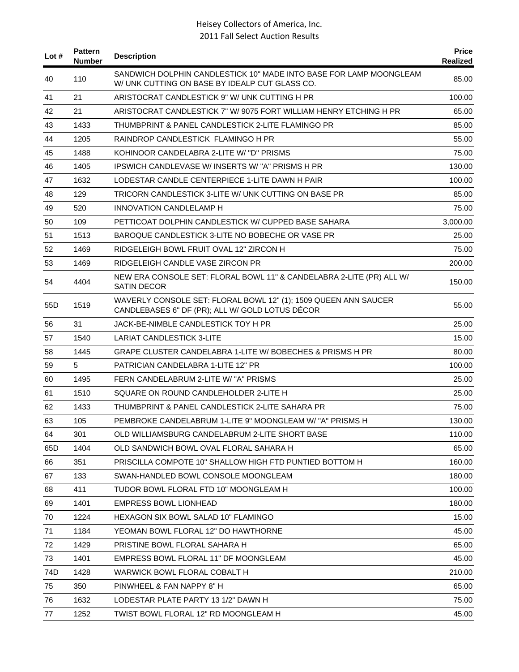| Lot #           | <b>Pattern</b><br><b>Number</b> | <b>Description</b>                                                                                                   | <b>Price</b><br>Realized |
|-----------------|---------------------------------|----------------------------------------------------------------------------------------------------------------------|--------------------------|
| 40              | 110                             | SANDWICH DOLPHIN CANDLESTICK 10" MADE INTO BASE FOR LAMP MOONGLEAM<br>W/ UNK CUTTING ON BASE BY IDEALP CUT GLASS CO. | 85.00                    |
| 41              | 21                              | ARISTOCRAT CANDLESTICK 9" W/ UNK CUTTING H PR                                                                        | 100.00                   |
| 42              | 21                              | ARISTOCRAT CANDLESTICK 7" W/ 9075 FORT WILLIAM HENRY ETCHING H PR                                                    | 65.00                    |
| 43              | 1433                            | THUMBPRINT & PANEL CANDLESTICK 2-LITE FLAMINGO PR                                                                    | 85.00                    |
| 44              | 1205                            | RAINDROP CANDLESTICK FLAMINGO H PR                                                                                   | 55.00                    |
| 45              | 1488                            | KOHINOOR CANDELABRA 2-LITE W/ "D" PRISMS                                                                             | 75.00                    |
| 46              | 1405                            | <b>IPSWICH CANDLEVASE W/INSERTS W/ "A" PRISMS H PR</b>                                                               | 130.00                   |
| 47              | 1632                            | LODESTAR CANDLE CENTERPIECE 1-LITE DAWN H PAIR                                                                       | 100.00                   |
| 48              | 129                             | TRICORN CANDLESTICK 3-LITE W/ UNK CUTTING ON BASE PR                                                                 | 85.00                    |
| 49              | 520                             | INNOVATION CANDLELAMP H                                                                                              | 75.00                    |
| 50              | 109                             | PETTICOAT DOLPHIN CANDLESTICK W/ CUPPED BASE SAHARA                                                                  | 3,000.00                 |
| 51              | 1513                            | BAROQUE CANDLESTICK 3-LITE NO BOBECHE OR VASE PR                                                                     | 25.00                    |
| 52              | 1469                            | RIDGELEIGH BOWL FRUIT OVAL 12" ZIRCON H                                                                              | 75.00                    |
| 53              | 1469                            | RIDGELEIGH CANDLE VASE ZIRCON PR                                                                                     | 200.00                   |
| 54              | 4404                            | NEW ERA CONSOLE SET: FLORAL BOWL 11" & CANDELABRA 2-LITE (PR) ALL W/<br><b>SATIN DECOR</b>                           | 150.00                   |
| 55 <sub>D</sub> | 1519                            | WAVERLY CONSOLE SET: FLORAL BOWL 12" (1); 1509 QUEEN ANN SAUCER<br>CANDLEBASES 6" DF (PR); ALL W/ GOLD LOTUS DÉCOR   | 55.00                    |
| 56              | 31                              | JACK-BE-NIMBLE CANDLESTICK TOY H PR                                                                                  | 25.00                    |
| 57              | 1540                            | <b>LARIAT CANDLESTICK 3-LITE</b>                                                                                     | 15.00                    |
| 58              | 1445                            | GRAPE CLUSTER CANDELABRA 1-LITE W/ BOBECHES & PRISMS H PR                                                            | 80.00                    |
| 59              | 5                               | PATRICIAN CANDELABRA 1-LITE 12" PR                                                                                   | 100.00                   |
| 60              | 1495                            | FERN CANDELABRUM 2-LITE W/ "A" PRISMS                                                                                | 25.00                    |
| 61              | 1510                            | SQUARE ON ROUND CANDLEHOLDER 2-LITE H                                                                                | 25.00                    |
| 62              | 1433                            | THUMBPRINT & PANEL CANDLESTICK 2-LITE SAHARA PR                                                                      | 75.00                    |
| 63              | 105                             | PEMBROKE CANDELABRUM 1-LITE 9" MOONGLEAM W/ "A" PRISMS H                                                             | 130.00                   |
| 64              | 301                             | OLD WILLIAMSBURG CANDELABRUM 2-LITE SHORT BASE                                                                       | 110.00                   |
| 65D             | 1404                            | OLD SANDWICH BOWL OVAL FLORAL SAHARA H                                                                               | 65.00                    |
| 66              | 351                             | PRISCILLA COMPOTE 10" SHALLOW HIGH FTD PUNTIED BOTTOM H                                                              | 160.00                   |
| 67              | 133                             | SWAN-HANDLED BOWL CONSOLE MOONGLEAM                                                                                  | 180.00                   |
| 68              | 411                             | TUDOR BOWL FLORAL FTD 10" MOONGLEAM H                                                                                | 100.00                   |
| 69              | 1401                            | <b>EMPRESS BOWL LIONHEAD</b>                                                                                         | 180.00                   |
| 70              | 1224                            | HEXAGON SIX BOWL SALAD 10" FLAMINGO                                                                                  | 15.00                    |
| 71              | 1184                            | YEOMAN BOWL FLORAL 12" DO HAWTHORNE                                                                                  | 45.00                    |
| 72              | 1429                            | PRISTINE BOWL FLORAL SAHARA H                                                                                        | 65.00                    |
| 73              | 1401                            | EMPRESS BOWL FLORAL 11" DF MOONGLEAM                                                                                 | 45.00                    |
| 74D             | 1428                            | WARWICK BOWL FLORAL COBALT H                                                                                         | 210.00                   |
| 75              | 350                             | PINWHEEL & FAN NAPPY 8" H                                                                                            | 65.00                    |
| 76              | 1632                            | LODESTAR PLATE PARTY 13 1/2" DAWN H                                                                                  | 75.00                    |
| 77              | 1252                            | TWIST BOWL FLORAL 12" RD MOONGLEAM H                                                                                 | 45.00                    |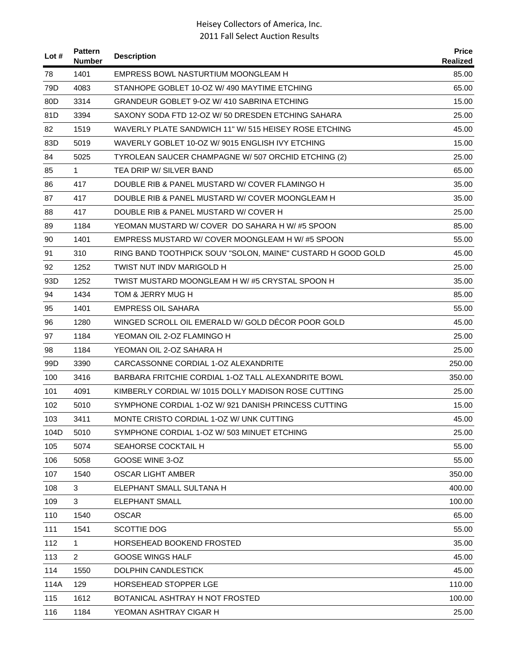| Lot $#$ | <b>Pattern</b><br><b>Number</b> | <b>Description</b>                                          | <b>Price</b><br>Realized |
|---------|---------------------------------|-------------------------------------------------------------|--------------------------|
| 78      | 1401                            | EMPRESS BOWL NASTURTIUM MOONGLEAM H                         | 85.00                    |
| 79D     | 4083                            | STANHOPE GOBLET 10-OZ W/ 490 MAYTIME ETCHING                | 65.00                    |
| 80D     | 3314                            | GRANDEUR GOBLET 9-OZ W/410 SABRINA ETCHING                  | 15.00                    |
| 81D     | 3394                            | SAXONY SODA FTD 12-OZ W/ 50 DRESDEN ETCHING SAHARA          | 25.00                    |
| 82      | 1519                            | WAVERLY PLATE SANDWICH 11" W/515 HEISEY ROSE ETCHING        | 45.00                    |
| 83D     | 5019                            | WAVERLY GOBLET 10-OZ W/9015 ENGLISH IVY ETCHING             | 15.00                    |
| 84      | 5025                            | TYROLEAN SAUCER CHAMPAGNE W/ 507 ORCHID ETCHING (2)         | 25.00                    |
| 85      | $\mathbf{1}$                    | TEA DRIP W/ SILVER BAND                                     | 65.00                    |
| 86      | 417                             | DOUBLE RIB & PANEL MUSTARD W/ COVER FLAMINGO H              | 35.00                    |
| 87      | 417                             | DOUBLE RIB & PANEL MUSTARD W/ COVER MOONGLEAM H             | 35.00                    |
| 88      | 417                             | DOUBLE RIB & PANEL MUSTARD W/ COVER H                       | 25.00                    |
| 89      | 1184                            | YEOMAN MUSTARD W/ COVER DO SAHARA H W/ #5 SPOON             | 85.00                    |
| 90      | 1401                            | EMPRESS MUSTARD W/ COVER MOONGLEAM H W/#5 SPOON             | 55.00                    |
| 91      | 310                             | RING BAND TOOTHPICK SOUV "SOLON, MAINE" CUSTARD H GOOD GOLD | 45.00                    |
| 92      | 1252                            | TWIST NUT INDV MARIGOLD H                                   | 25.00                    |
| 93D     | 1252                            | TWIST MUSTARD MOONGLEAM H W/#5 CRYSTAL SPOON H              | 35.00                    |
| 94      | 1434                            | TOM & JERRY MUG H                                           | 85.00                    |
| 95      | 1401                            | EMPRESS OIL SAHARA                                          | 55.00                    |
| 96      | 1280                            | WINGED SCROLL OIL EMERALD W/ GOLD DECOR POOR GOLD           | 45.00                    |
| 97      | 1184                            | YEOMAN OIL 2-OZ FLAMINGO H                                  | 25.00                    |
| 98      | 1184                            | YEOMAN OIL 2-OZ SAHARA H                                    | 25.00                    |
| 99D     | 3390                            | CARCASSONNE CORDIAL 1-OZ ALEXANDRITE                        | 250.00                   |
| 100     | 3416                            | BARBARA FRITCHIE CORDIAL 1-OZ TALL ALEXANDRITE BOWL         | 350.00                   |
| 101     | 4091                            | KIMBERLY CORDIAL W/1015 DOLLY MADISON ROSE CUTTING          | 25.00                    |
| 102     | 5010                            | SYMPHONE CORDIAL 1-OZ W/921 DANISH PRINCESS CUTTING         | 15.00                    |
| 103     | 3411                            | MONTE CRISTO CORDIAL 1-OZ W/ UNK CUTTING                    | 45.00                    |
| 104D    | 5010                            | SYMPHONE CORDIAL 1-OZ W/503 MINUET ETCHING                  | 25.00                    |
| 105     | 5074                            | SEAHORSE COCKTAIL H                                         | 55.00                    |
| 106     | 5058                            | GOOSE WINE 3-OZ                                             | 55.00                    |
| 107     | 1540                            | <b>OSCAR LIGHT AMBER</b>                                    | 350.00                   |
| 108     | 3                               | ELEPHANT SMALL SULTANA H                                    | 400.00                   |
| 109     | 3                               | <b>ELEPHANT SMALL</b>                                       | 100.00                   |
| 110     | 1540                            | <b>OSCAR</b>                                                | 65.00                    |
| 111     | 1541                            | SCOTTIE DOG                                                 | 55.00                    |
| 112     | $\mathbf{1}$                    | HORSEHEAD BOOKEND FROSTED                                   | 35.00                    |
| 113     | $\overline{2}$                  | <b>GOOSE WINGS HALF</b>                                     | 45.00                    |
| 114     | 1550                            | <b>DOLPHIN CANDLESTICK</b>                                  | 45.00                    |
| 114A    | 129                             | HORSEHEAD STOPPER LGE                                       | 110.00                   |
| 115     | 1612                            | BOTANICAL ASHTRAY H NOT FROSTED                             | 100.00                   |
| 116     | 1184                            | YEOMAN ASHTRAY CIGAR H                                      | 25.00                    |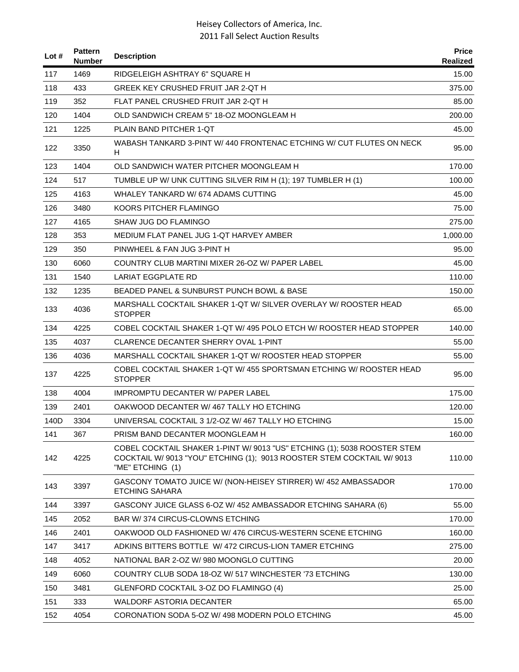| Lot $#$ | <b>Pattern</b><br>Number | <b>Description</b>                                                                                                                                                     | <b>Price</b><br>Realized |
|---------|--------------------------|------------------------------------------------------------------------------------------------------------------------------------------------------------------------|--------------------------|
| 117     | 1469                     | RIDGELEIGH ASHTRAY 6" SQUARE H                                                                                                                                         | 15.00                    |
| 118     | 433                      | GREEK KEY CRUSHED FRUIT JAR 2-QT H                                                                                                                                     | 375.00                   |
| 119     | 352                      | FLAT PANEL CRUSHED FRUIT JAR 2-QT H                                                                                                                                    | 85.00                    |
| 120     | 1404                     | OLD SANDWICH CREAM 5" 18-OZ MOONGLEAM H                                                                                                                                | 200.00                   |
| 121     | 1225                     | PLAIN BAND PITCHER 1-QT                                                                                                                                                | 45.00                    |
| 122     | 3350                     | WABASH TANKARD 3-PINT W/ 440 FRONTENAC ETCHING W/ CUT FLUTES ON NECK<br>H.                                                                                             | 95.00                    |
| 123     | 1404                     | OLD SANDWICH WATER PITCHER MOONGLEAM H                                                                                                                                 | 170.00                   |
| 124     | 517                      | TUMBLE UP W/ UNK CUTTING SILVER RIM H (1); 197 TUMBLER H (1)                                                                                                           | 100.00                   |
| 125     | 4163                     | WHALEY TANKARD W/ 674 ADAMS CUTTING                                                                                                                                    | 45.00                    |
| 126     | 3480                     | KOORS PITCHER FLAMINGO                                                                                                                                                 | 75.00                    |
| 127     | 4165                     | SHAW JUG DO FLAMINGO                                                                                                                                                   | 275.00                   |
| 128     | 353                      | MEDIUM FLAT PANEL JUG 1-QT HARVEY AMBER                                                                                                                                | 1,000.00                 |
| 129     | 350                      | PINWHEEL & FAN JUG 3-PINT H                                                                                                                                            | 95.00                    |
| 130     | 6060                     | COUNTRY CLUB MARTINI MIXER 26-OZ W/ PAPER LABEL                                                                                                                        | 45.00                    |
| 131     | 1540                     | LARIAT EGGPLATE RD                                                                                                                                                     | 110.00                   |
| 132     | 1235                     | BEADED PANEL & SUNBURST PUNCH BOWL & BASE                                                                                                                              | 150.00                   |
| 133     | 4036                     | MARSHALL COCKTAIL SHAKER 1-QT W/ SILVER OVERLAY W/ ROOSTER HEAD<br><b>STOPPER</b>                                                                                      | 65.00                    |
| 134     | 4225                     | COBEL COCKTAIL SHAKER 1-QT W/ 495 POLO ETCH W/ ROOSTER HEAD STOPPER                                                                                                    | 140.00                   |
| 135     | 4037                     | CLARENCE DECANTER SHERRY OVAL 1-PINT                                                                                                                                   | 55.00                    |
| 136     | 4036                     | MARSHALL COCKTAIL SHAKER 1-QT W/ ROOSTER HEAD STOPPER                                                                                                                  | 55.00                    |
| 137     | 4225                     | COBEL COCKTAIL SHAKER 1-QT W/ 455 SPORTSMAN ETCHING W/ ROOSTER HEAD<br><b>STOPPER</b>                                                                                  | 95.00                    |
| 138     | 4004                     | <b>IMPROMPTU DECANTER W/ PAPER LABEL</b>                                                                                                                               | 175.00                   |
| 139     | 2401                     | OAKWOOD DECANTER W/467 TALLY HO ETCHING                                                                                                                                | 120.00                   |
| 140D    | 3304                     | UNIVERSAL COCKTAIL 3 1/2-OZ W/ 467 TALLY HO ETCHING                                                                                                                    | 15.00                    |
| 141     | 367                      | PRISM BAND DECANTER MOONGLEAM H                                                                                                                                        | 160.00                   |
| 142     | 4225                     | COBEL COCKTAIL SHAKER 1-PINT W/ 9013 "US" ETCHING (1); 5038 ROOSTER STEM<br>COCKTAIL W/ 9013 "YOU" ETCHING (1); 9013 ROOSTER STEM COCKTAIL W/ 9013<br>"ME" ETCHING (1) | 110.00                   |
| 143     | 3397                     | GASCONY TOMATO JUICE W/ (NON-HEISEY STIRRER) W/ 452 AMBASSADOR<br><b>ETCHING SAHARA</b>                                                                                | 170.00                   |
| 144     | 3397                     | GASCONY JUICE GLASS 6-OZ W/ 452 AMBASSADOR ETCHING SAHARA (6)                                                                                                          | 55.00                    |
| 145     | 2052                     | <b>BAR W/374 CIRCUS-CLOWNS ETCHING</b>                                                                                                                                 | 170.00                   |
| 146     | 2401                     | OAKWOOD OLD FASHIONED W/ 476 CIRCUS-WESTERN SCENE ETCHING                                                                                                              | 160.00                   |
| 147     | 3417                     | ADKINS BITTERS BOTTLE W/ 472 CIRCUS-LION TAMER ETCHING                                                                                                                 | 275.00                   |
| 148     | 4052                     | NATIONAL BAR 2-OZ W/980 MOONGLO CUTTING                                                                                                                                | 20.00                    |
| 149     | 6060                     | COUNTRY CLUB SODA 18-OZ W/ 517 WINCHESTER '73 ETCHING                                                                                                                  | 130.00                   |
| 150     | 3481                     | GLENFORD COCKTAIL 3-OZ DO FLAMINGO (4)                                                                                                                                 | 25.00                    |
| 151     | 333                      | <b>WALDORF ASTORIA DECANTER</b>                                                                                                                                        | 65.00                    |
| 152     | 4054                     | CORONATION SODA 5-OZ W/ 498 MODERN POLO ETCHING                                                                                                                        | 45.00                    |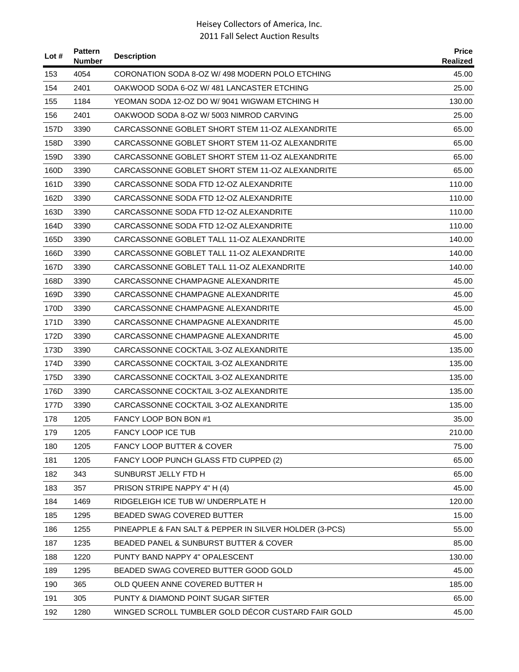| Lot $#$ | <b>Pattern</b><br><b>Number</b> | <b>Description</b>                                     | <b>Price</b><br><b>Realized</b> |
|---------|---------------------------------|--------------------------------------------------------|---------------------------------|
| 153     | 4054                            | CORONATION SODA 8-OZ W/498 MODERN POLO ETCHING         | 45.00                           |
| 154     | 2401                            | OAKWOOD SODA 6-OZ W/ 481 LANCASTER ETCHING             | 25.00                           |
| 155     | 1184                            | YEOMAN SODA 12-OZ DO W/9041 WIGWAM ETCHING H           | 130.00                          |
| 156     | 2401                            | OAKWOOD SODA 8-OZ W/5003 NIMROD CARVING                | 25.00                           |
| 157D    | 3390                            | CARCASSONNE GOBLET SHORT STEM 11-OZ ALEXANDRITE        | 65.00                           |
| 158D    | 3390                            | CARCASSONNE GOBLET SHORT STEM 11-OZ ALEXANDRITE        | 65.00                           |
| 159D    | 3390                            | CARCASSONNE GOBLET SHORT STEM 11-OZ ALEXANDRITE        | 65.00                           |
| 160D    | 3390                            | CARCASSONNE GOBLET SHORT STEM 11-OZ ALEXANDRITE        | 65.00                           |
| 161D    | 3390                            | CARCASSONNE SODA FTD 12-OZ ALEXANDRITE                 | 110.00                          |
| 162D    | 3390                            | CARCASSONNE SODA FTD 12-OZ ALEXANDRITE                 | 110.00                          |
| 163D    | 3390                            | CARCASSONNE SODA FTD 12-OZ ALEXANDRITE                 | 110.00                          |
| 164D    | 3390                            | CARCASSONNE SODA FTD 12-OZ ALEXANDRITE                 | 110.00                          |
| 165D    | 3390                            | CARCASSONNE GOBLET TALL 11-OZ ALEXANDRITE              | 140.00                          |
| 166D    | 3390                            | CARCASSONNE GOBLET TALL 11-OZ ALEXANDRITE              | 140.00                          |
| 167D    | 3390                            | CARCASSONNE GOBLET TALL 11-OZ ALEXANDRITE              | 140.00                          |
| 168D    | 3390                            | CARCASSONNE CHAMPAGNE ALEXANDRITE                      | 45.00                           |
| 169D    | 3390                            | CARCASSONNE CHAMPAGNE ALEXANDRITE                      | 45.00                           |
| 170D    | 3390                            | CARCASSONNE CHAMPAGNE ALEXANDRITE                      | 45.00                           |
| 171D    | 3390                            | CARCASSONNE CHAMPAGNE ALEXANDRITE                      | 45.00                           |
| 172D    | 3390                            | CARCASSONNE CHAMPAGNE ALEXANDRITE                      | 45.00                           |
| 173D    | 3390                            | CARCASSONNE COCKTAIL 3-OZ ALEXANDRITE                  | 135.00                          |
| 174D    | 3390                            | CARCASSONNE COCKTAIL 3-OZ ALEXANDRITE                  | 135.00                          |
| 175D    | 3390                            | CARCASSONNE COCKTAIL 3-OZ ALEXANDRITE                  | 135.00                          |
| 176D    | 3390                            | CARCASSONNE COCKTAIL 3-OZ ALEXANDRITE                  | 135.00                          |
| 177D    | 3390                            | CARCASSONNE COCKTAIL 3-OZ ALEXANDRITE                  | 135.00                          |
| 178     | 1205                            | FANCY LOOP BON BON #1                                  | 35.00                           |
| 179     | 1205                            | FANCY LOOP ICE TUB                                     | 210.00                          |
| 180     | 1205                            | <b>FANCY LOOP BUTTER &amp; COVER</b>                   | 75.00                           |
| 181     | 1205                            | FANCY LOOP PUNCH GLASS FTD CUPPED (2)                  | 65.00                           |
| 182     | 343                             | SUNBURST JELLY FTD H                                   | 65.00                           |
| 183     | 357                             | PRISON STRIPE NAPPY 4" H (4)                           | 45.00                           |
| 184     | 1469                            | RIDGELEIGH ICE TUB W/ UNDERPLATE H                     | 120.00                          |
| 185     | 1295                            | BEADED SWAG COVERED BUTTER                             | 15.00                           |
| 186     | 1255                            | PINEAPPLE & FAN SALT & PEPPER IN SILVER HOLDER (3-PCS) | 55.00                           |
| 187     | 1235                            | BEADED PANEL & SUNBURST BUTTER & COVER                 | 85.00                           |
| 188     | 1220                            | PUNTY BAND NAPPY 4" OPALESCENT                         | 130.00                          |
| 189     | 1295                            | BEADED SWAG COVERED BUTTER GOOD GOLD                   | 45.00                           |
| 190     | 365                             | OLD QUEEN ANNE COVERED BUTTER H                        | 185.00                          |
| 191     | 305                             | PUNTY & DIAMOND POINT SUGAR SIFTER                     | 65.00                           |
| 192     | 1280                            | WINGED SCROLL TUMBLER GOLD DÉCOR CUSTARD FAIR GOLD     | 45.00                           |